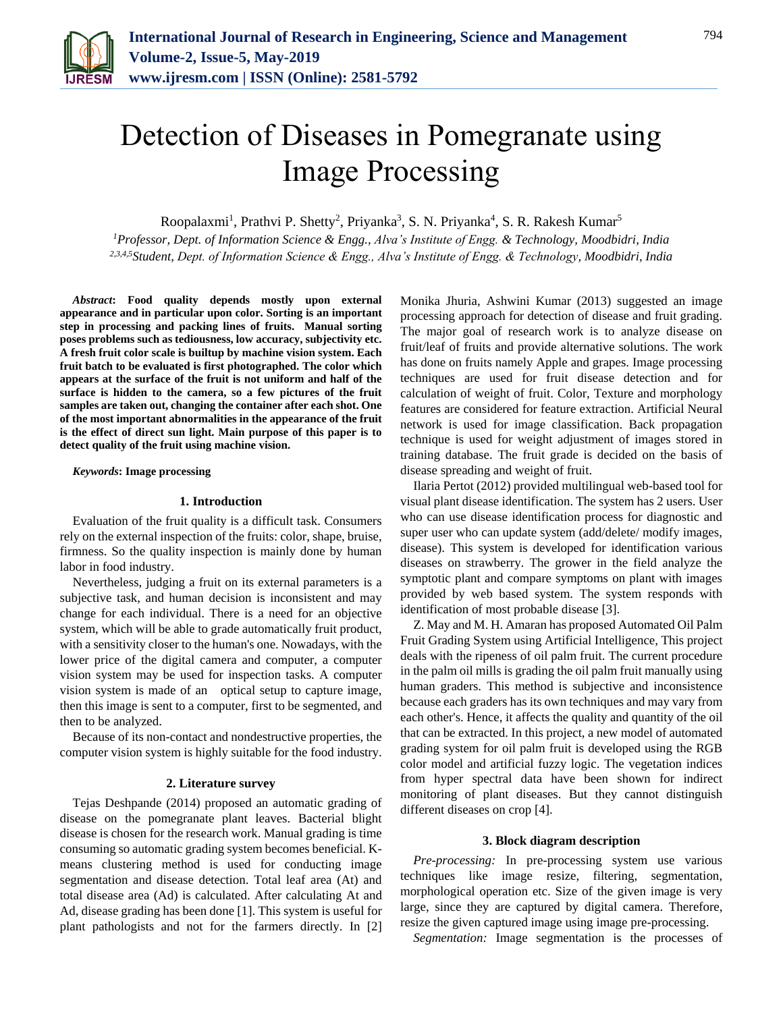

# Detection of Diseases in Pomegranate using Image Processing

Roopalaxmi<sup>1</sup>, Prathvi P. Shetty<sup>2</sup>, Priyanka<sup>3</sup>, S. N. Priyanka<sup>4</sup>, S. R. Rakesh Kumar<sup>5</sup>

*<sup>1</sup>Professor, Dept. of Information Science & Engg., Alva's Institute of Engg. & Technology, Moodbidri, India 2,3,4,5Student, Dept. of Information Science & Engg., Alva's Institute of Engg. & Technology, Moodbidri, India*

*Abstract***: Food quality depends mostly upon external appearance and in particular upon color. Sorting is an important step in processing and packing lines of fruits. Manual sorting poses problems such as tediousness, low accuracy, subjectivity etc. A fresh fruit color scale is builtup by machine vision system. Each fruit batch to be evaluated is first photographed. The color which appears at the surface of the fruit is not uniform and half of the surface is hidden to the camera, so a few pictures of the fruit samples are taken out, changing the container after each shot. One of the most important abnormalities in the appearance of the fruit is the effect of direct sun light. Main purpose of this paper is to detect quality of the fruit using machine vision.** 

*Keywords***: Image processing**

## **1. Introduction**

Evaluation of the fruit quality is a difficult task. Consumers rely on the external inspection of the fruits: color, shape, bruise, firmness. So the quality inspection is mainly done by human labor in food industry.

Nevertheless, judging a fruit on its external parameters is a subjective task, and human decision is inconsistent and may change for each individual. There is a need for an objective system, which will be able to grade automatically fruit product, with a sensitivity closer to the human's one. Nowadays, with the lower price of the digital camera and computer, a computer vision system may be used for inspection tasks. A computer vision system is made of an optical setup to capture image, then this image is sent to a computer, first to be segmented, and then to be analyzed.

Because of its non-contact and nondestructive properties, the computer vision system is highly suitable for the food industry.

### **2. Literature survey**

Tejas Deshpande (2014) proposed an automatic grading of disease on the pomegranate plant leaves. Bacterial blight disease is chosen for the research work. Manual grading is time consuming so automatic grading system becomes beneficial. Kmeans clustering method is used for conducting image segmentation and disease detection. Total leaf area (At) and total disease area (Ad) is calculated. After calculating At and Ad, disease grading has been done [1]. This system is useful for plant pathologists and not for the farmers directly. In [2] Monika Jhuria, Ashwini Kumar (2013) suggested an image processing approach for detection of disease and fruit grading. The major goal of research work is to analyze disease on fruit/leaf of fruits and provide alternative solutions. The work has done on fruits namely Apple and grapes. Image processing techniques are used for fruit disease detection and for calculation of weight of fruit. Color, Texture and morphology features are considered for feature extraction. Artificial Neural network is used for image classification. Back propagation technique is used for weight adjustment of images stored in training database. The fruit grade is decided on the basis of disease spreading and weight of fruit.

Ilaria Pertot (2012) provided multilingual web-based tool for visual plant disease identification. The system has 2 users. User who can use disease identification process for diagnostic and super user who can update system (add/delete/ modify images, disease). This system is developed for identification various diseases on strawberry. The grower in the field analyze the symptotic plant and compare symptoms on plant with images provided by web based system. The system responds with identification of most probable disease [3].

Z. May and M. H. Amaran has proposed Automated Oil Palm Fruit Grading System using Artificial Intelligence, This project deals with the ripeness of oil palm fruit. The current procedure in the palm oil mills is grading the oil palm fruit manually using human graders. This method is subjective and inconsistence because each graders has its own techniques and may vary from each other's. Hence, it affects the quality and quantity of the oil that can be extracted. In this project, a new model of automated grading system for oil palm fruit is developed using the RGB color model and artificial fuzzy logic. The vegetation indices from hyper spectral data have been shown for indirect monitoring of plant diseases. But they cannot distinguish different diseases on crop [4].

### **3. Block diagram description**

*Pre-processing:* In pre-processing system use various techniques like image resize, filtering, segmentation, morphological operation etc. Size of the given image is very large, since they are captured by digital camera. Therefore, resize the given captured image using image pre-processing.

*Segmentation:* Image segmentation is the processes of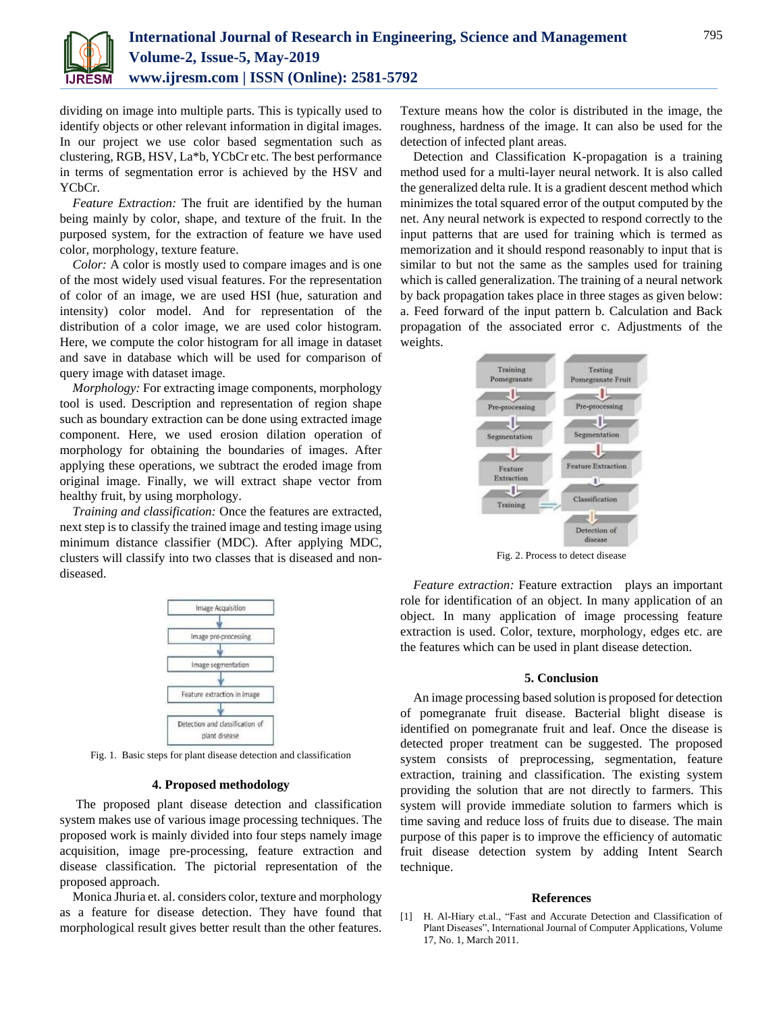

dividing on image into multiple parts. This is typically used to identify objects or other relevant information in digital images. In our project we use color based segmentation such as clustering, RGB, HSV, La\*b, YCbCr etc. The best performance in terms of segmentation error is achieved by the HSV and YCbCr.

*Feature Extraction:* The fruit are identified by the human being mainly by color, shape, and texture of the fruit. In the purposed system, for the extraction of feature we have used color, morphology, texture feature.

*Color:* A color is mostly used to compare images and is one of the most widely used visual features. For the representation of color of an image, we are used HSI (hue, saturation and intensity) color model. And for representation of the distribution of a color image, we are used color histogram. Here, we compute the color histogram for all image in dataset and save in database which will be used for comparison of query image with dataset image.

*Morphology:* For extracting image components, morphology tool is used. Description and representation of region shape such as boundary extraction can be done using extracted image component. Here, we used erosion dilation operation of morphology for obtaining the boundaries of images. After applying these operations, we subtract the eroded image from original image. Finally, we will extract shape vector from healthy fruit, by using morphology.

*Training and classification:* Once the features are extracted, next step is to classify the trained image and testing image using minimum distance classifier (MDC). After applying MDC, clusters will classify into two classes that is diseased and nondiseased.



Fig. 1. Basic steps for plant disease detection and classification

#### **4. Proposed methodology**

The proposed plant disease detection and classification system makes use of various image processing techniques. The proposed work is mainly divided into four steps namely image acquisition, image pre-processing, feature extraction and disease classification. The pictorial representation of the proposed approach.

Monica Jhuria et. al. considers color, texture and morphology as a feature for disease detection. They have found that morphological result gives better result than the other features.

Texture means how the color is distributed in the image, the roughness, hardness of the image. It can also be used for the detection of infected plant areas.

Detection and Classification K-propagation is a training method used for a multi-layer neural network. It is also called the generalized delta rule. It is a gradient descent method which minimizes the total squared error of the output computed by the net. Any neural network is expected to respond correctly to the input patterns that are used for training which is termed as memorization and it should respond reasonably to input that is similar to but not the same as the samples used for training which is called generalization. The training of a neural network by back propagation takes place in three stages as given below: a. Feed forward of the input pattern b. Calculation and Back propagation of the associated error c. Adjustments of the weights.



Fig. 2. Process to detect disease

*Feature extraction:* Feature extraction plays an important role for identification of an object. In many application of an object. In many application of image processing feature extraction is used. Color, texture, morphology, edges etc. are the features which can be used in plant disease detection.

## **5. Conclusion**

An image processing based solution is proposed for detection of pomegranate fruit disease. Bacterial blight disease is identified on pomegranate fruit and leaf. Once the disease is detected proper treatment can be suggested. The proposed system consists of preprocessing, segmentation, feature extraction, training and classification. The existing system providing the solution that are not directly to farmers. This system will provide immediate solution to farmers which is time saving and reduce loss of fruits due to disease. The main purpose of this paper is to improve the efficiency of automatic fruit disease detection system by adding Intent Search technique.

#### **References**

[1] H. Al-Hiary et.al., "Fast and Accurate Detection and Classification of Plant Diseases", International Journal of Computer Applications, Volume 17, No. 1, March 2011.